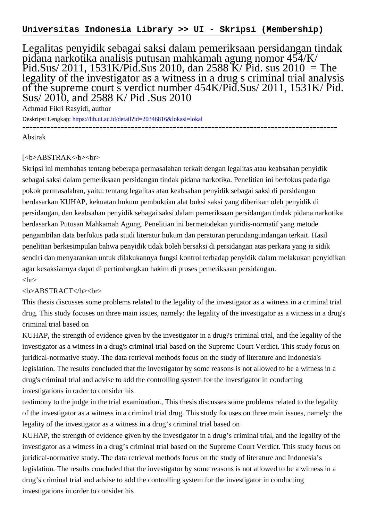## **Universitas Indonesia Library >> UI - Skripsi (Membership)**

Legalitas penyidik sebagai saksi dalam pemeriksaan persidangan tindak pidana narkotika analisis putusan mahkamah agung nomor 454/K/ Pid.Sus/ 2011, 1531K/Pid.Sus 2010, dan 2588 K/ Pid. sus 2010 = The legality of the investigator as a witness in a drug s criminal trial analysis of the supreme court s verdict number 454K/Pid.Sus/ 2011, 1531K/ Pid. Sus/ 2010, and 2588 K/ Pid .Sus 2010

Achmad Fikri Rasyidi, author

Deskripsi Lengkap:<https://lib.ui.ac.id/detail?id=20346816&lokasi=lokal> ------------------------------------------------------------------------------------------

Abstrak

## [<b>ABSTRAK</b><br/>shr>

Skripsi ini membahas tentang beberapa permasalahan terkait dengan legalitas atau keabsahan penyidik sebagai saksi dalam pemeriksaan persidangan tindak pidana narkotika. Penelitian ini berfokus pada tiga pokok permasalahan, yaitu: tentang legalitas atau keabsahan penyidik sebagai saksi di persidangan berdasarkan KUHAP, kekuatan hukum pembuktian alat buksi saksi yang diberikan oleh penyidik di persidangan, dan keabsahan penyidik sebagai saksi dalam pemeriksaan persidangan tindak pidana narkotika berdasarkan Putusan Mahkamah Agung. Penelitian ini bermetodekan yuridis-normatif yang metode pengambilan data berfokus pada studi literatur hukum dan peraturan perundangundangan terkait. Hasil penelitian berkesimpulan bahwa penyidik tidak boleh bersaksi di persidangan atas perkara yang ia sidik sendiri dan menyarankan untuk dilakukannya fungsi kontrol terhadap penyidik dalam melakukan penyidikan agar kesaksiannya dapat di pertimbangkan hakim di proses pemeriksaan persidangan.  $\langle$ hr $>$ 

## <b>ABSTRACT</b><br>

This thesis discusses some problems related to the legality of the investigator as a witness in a criminal trial drug. This study focuses on three main issues, namely: the legality of the investigator as a witness in a drug's criminal trial based on

KUHAP, the strength of evidence given by the investigator in a drug?s criminal trial, and the legality of the investigator as a witness in a drug's criminal trial based on the Supreme Court Verdict. This study focus on juridical-normative study. The data retrieval methods focus on the study of literature and Indonesia's legislation. The results concluded that the investigator by some reasons is not allowed to be a witness in a drug's criminal trial and advise to add the controlling system for the investigator in conducting investigations in order to consider his

testimony to the judge in the trial examination., This thesis discusses some problems related to the legality of the investigator as a witness in a criminal trial drug. This study focuses on three main issues, namely: the legality of the investigator as a witness in a drug's criminal trial based on

KUHAP, the strength of evidence given by the investigator in a drug's criminal trial, and the legality of the investigator as a witness in a drug's criminal trial based on the Supreme Court Verdict. This study focus on juridical-normative study. The data retrieval methods focus on the study of literature and Indonesia's legislation. The results concluded that the investigator by some reasons is not allowed to be a witness in a drug's criminal trial and advise to add the controlling system for the investigator in conducting investigations in order to consider his